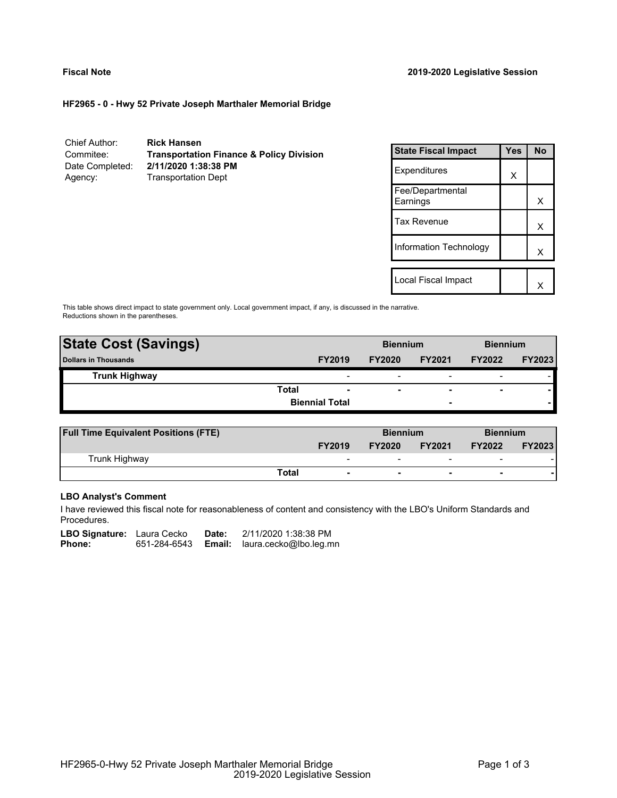# **HF2965 - 0 - Hwy 52 Private Joseph Marthaler Memorial Bridge**

Chief Author: **Rick Hansen** Commitee: **Transportation Finance & Policy Division** Date Completed: **2/11/2020 1:38:38 PM** Agency: Transportation Dept

| <b>State Fiscal Impact</b>   | Yes | N٥ |
|------------------------------|-----|----|
| Expenditures                 | x   |    |
| Fee/Departmental<br>Earnings |     | x  |
| Tax Revenue                  |     | х  |
| Information Technology       |     | x  |
|                              |     |    |
| Local Fiscal Impact          |     |    |

This table shows direct impact to state government only. Local government impact, if any, is discussed in the narrative. Reductions shown in the parentheses.

| <b>State Cost (Savings)</b> |                       |                          | <b>Biennium</b>          |                          | <b>Biennium</b>          |               |
|-----------------------------|-----------------------|--------------------------|--------------------------|--------------------------|--------------------------|---------------|
| <b>Dollars in Thousands</b> |                       | <b>FY2019</b>            | <b>FY2020</b>            | <b>FY2021</b>            | <b>FY2022</b>            | <b>FY2023</b> |
| <b>Trunk Highway</b>        |                       | $\overline{\phantom{0}}$ | $\overline{\phantom{0}}$ | $\overline{\phantom{0}}$ | $\overline{\phantom{0}}$ |               |
|                             | Total                 | $\overline{\phantom{a}}$ | $\overline{\phantom{a}}$ | $\overline{\phantom{0}}$ | $\overline{\phantom{a}}$ |               |
|                             | <b>Biennial Total</b> |                          |                          | -                        |                          |               |
|                             |                       |                          |                          |                          |                          |               |

| <b>Full Time Equivalent Positions (FTE)</b> |       |                          | <b>Biennium</b> |                          | <b>Biennium</b>          |               |
|---------------------------------------------|-------|--------------------------|-----------------|--------------------------|--------------------------|---------------|
|                                             |       | <b>FY2019</b>            | <b>FY2020</b>   | <b>FY2021</b>            | <b>FY2022</b>            | <b>FY2023</b> |
| Trunk Highway                               |       | $\overline{\phantom{0}}$ | -               | $\overline{\phantom{0}}$ | $\overline{\phantom{0}}$ |               |
|                                             | Total | $\overline{\phantom{0}}$ |                 | $\blacksquare$           | $\overline{\phantom{a}}$ |               |

# **LBO Analyst's Comment**

I have reviewed this fiscal note for reasonableness of content and consistency with the LBO's Uniform Standards and Procedures.

| <b>LBO Signature:</b> Laura Cecko |              | Date: | 2/11/2020 1:38:38 PM                 |
|-----------------------------------|--------------|-------|--------------------------------------|
| Phone:                            | 651-284-6543 |       | <b>Email:</b> laura.cecko@lbo.leg.mn |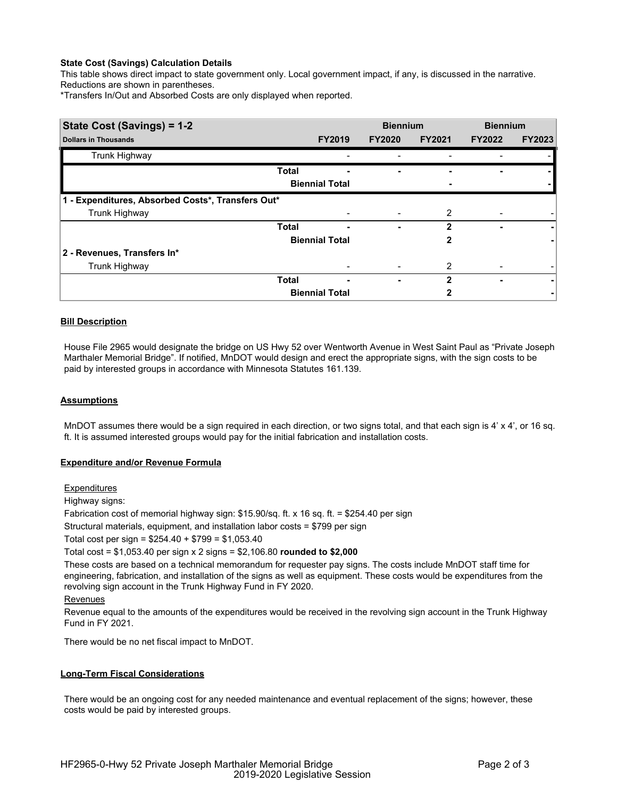# **State Cost (Savings) Calculation Details**

This table shows direct impact to state government only. Local government impact, if any, is discussed in the narrative. Reductions are shown in parentheses.

\*Transfers In/Out and Absorbed Costs are only displayed when reported.

| State Cost (Savings) = 1-2                        |              |                       | <b>Biennium</b> |                | <b>Biennium</b> |               |
|---------------------------------------------------|--------------|-----------------------|-----------------|----------------|-----------------|---------------|
| <b>Dollars in Thousands</b>                       |              | <b>FY2019</b>         | <b>FY2020</b>   | <b>FY2021</b>  | <b>FY2022</b>   | <b>FY2023</b> |
| Trunk Highway                                     |              |                       |                 |                |                 |               |
|                                                   | <b>Total</b> | -                     |                 |                |                 |               |
|                                                   |              | <b>Biennial Total</b> |                 |                |                 |               |
| 1 - Expenditures, Absorbed Costs*, Transfers Out* |              |                       |                 |                |                 |               |
| Trunk Highway                                     |              |                       |                 | 2              |                 |               |
|                                                   | <b>Total</b> | -                     | ۰               | $\mathbf{2}$   |                 |               |
|                                                   |              | <b>Biennial Total</b> |                 | 2              |                 |               |
| 2 - Revenues, Transfers In*                       |              |                       |                 |                |                 |               |
| Trunk Highway                                     |              |                       |                 | $\overline{2}$ |                 |               |
|                                                   | <b>Total</b> | ٠                     | ۰               | $\mathbf{2}$   |                 |               |
|                                                   |              | <b>Biennial Total</b> |                 |                |                 |               |

# **Bill Description**

House File 2965 would designate the bridge on US Hwy 52 over Wentworth Avenue in West Saint Paul as "Private Joseph Marthaler Memorial Bridge". If notified, MnDOT would design and erect the appropriate signs, with the sign costs to be paid by interested groups in accordance with Minnesota Statutes 161.139.

### **Assumptions**

MnDOT assumes there would be a sign required in each direction, or two signs total, and that each sign is 4' x 4', or 16 sq. ft. It is assumed interested groups would pay for the initial fabrication and installation costs.

### **Expenditure and/or Revenue Formula**

### **Expenditures**

Highway signs:

Fabrication cost of memorial highway sign: \$15.90/sq. ft. x 16 sq. ft. = \$254.40 per sign

Structural materials, equipment, and installation labor costs = \$799 per sign

Total cost per sign = \$254.40 + \$799 = \$1,053.40

Total cost = \$1,053.40 per sign x 2 signs = \$2,106.80 **rounded to \$2,000**

These costs are based on a technical memorandum for requester pay signs. The costs include MnDOT staff time for engineering, fabrication, and installation of the signs as well as equipment. These costs would be expenditures from the revolving sign account in the Trunk Highway Fund in FY 2020.

### Revenues

Revenue equal to the amounts of the expenditures would be received in the revolving sign account in the Trunk Highway Fund in FY 2021.

There would be no net fiscal impact to MnDOT.

### **Long-Term Fiscal Considerations**

There would be an ongoing cost for any needed maintenance and eventual replacement of the signs; however, these costs would be paid by interested groups.